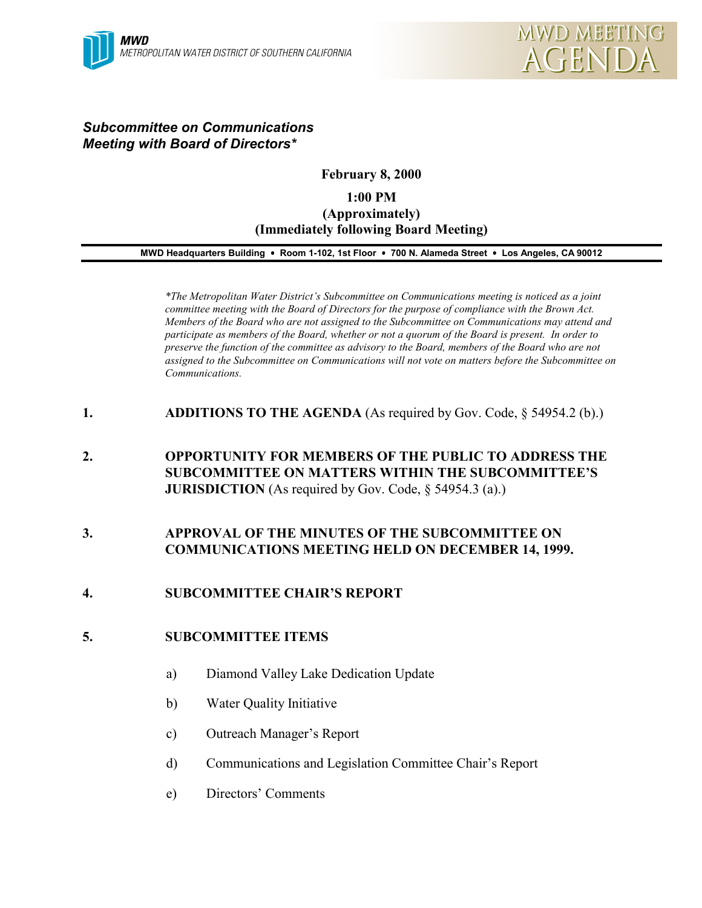## *Subcommittee on Communications Meeting with Board of Directors\**

## **February 8, 2000**

# **1:00 PM (Approximately) (Immediately following Board Meeting)**

#### **MWD Headquarters Building** ! **Room 1-102, 1st Floor** ! **700 N. Alameda Street** ! **Los Angeles, CA 90012**

*\*The Metropolitan Water District's Subcommittee on Communications meeting is noticed as a joint committee meeting with the Board of Directors for the purpose of compliance with the Brown Act. Members of the Board who are not assigned to the Subcommittee on Communications may attend and participate as members of the Board, whether or not a quorum of the Board is present. In order to preserve the function of the committee as advisory to the Board, members of the Board who are not assigned to the Subcommittee on Communications will not vote on matters before the Subcommittee on Communications.*

- **1. ADDITIONS TO THE AGENDA** (As required by Gov. Code, § 54954.2 (b).)
- **2. OPPORTUNITY FOR MEMBERS OF THE PUBLIC TO ADDRESS THE SUBCOMMITTEE ON MATTERS WITHIN THE SUBCOMMITTEE'S JURISDICTION** (As required by Gov. Code, § 54954.3 (a).)

## **3. APPROVAL OF THE MINUTES OF THE SUBCOMMITTEE ON COMMUNICATIONS MEETING HELD ON DECEMBER 14, 1999.**

## **4. SUBCOMMITTEE CHAIR'S REPORT**

#### **5. SUBCOMMITTEE ITEMS**

- a) Diamond Valley Lake Dedication Update
- b) Water Quality Initiative
- c) Outreach Manager's Report
- d) Communications and Legislation Committee Chair's Report
- e) Directors' Comments